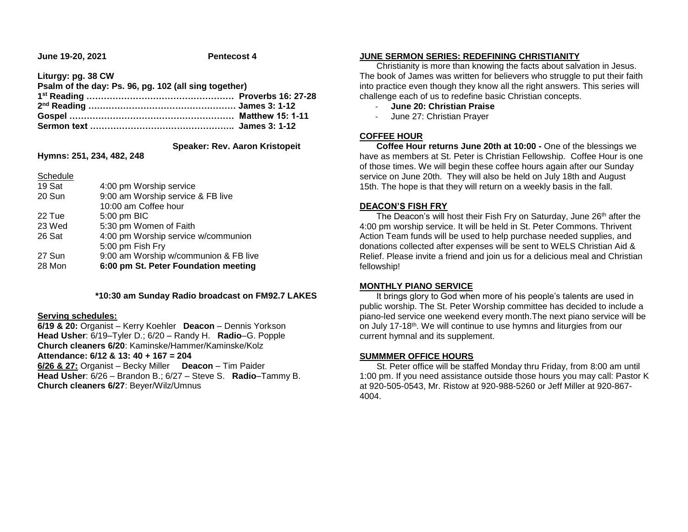**June 19-20, 2021 Pentecost 4**

**Liturgy: pg. 38 CW**

**Psalm of the day: Ps. 96, pg. 102 (all sing together)** 

 **Speaker: Rev. Aaron Kristopeit**

**Hymns: 251, 234, 482, 248**

Schedule

| 19 Sat | 4:00 pm Worship service               |
|--------|---------------------------------------|
| 20 Sun | 9:00 am Worship service & FB live     |
|        | 10:00 am Coffee hour                  |
| 22 Tue | 5:00 pm BIC                           |
| 23 Wed | 5:30 pm Women of Faith                |
| 26 Sat | 4:00 pm Worship service w/communion   |
|        | 5:00 pm Fish Fry                      |
| 27 Sun | 9:00 am Worship w/communion & FB live |
| 28 Mon | 6:00 pm St. Peter Foundation meeting  |
|        |                                       |

## **\*10:30 am Sunday Radio broadcast on FM92.7 LAKES**

#### **Serving schedules:**

**6/19 & 20:** Organist – Kerry Koehler **Deacon** – Dennis Yorkson **Head Usher**: 6/19–Tyler D.; 6/20 – Randy H. **Radio**–G. Popple **Church cleaners 6/20**: Kaminske/Hammer/Kaminske/Kolz **Attendance: 6/12 & 13: 40 + 167 = 204 6/26 & 27:** Organist – Becky Miller **Deacon** – Tim Paider **Head Usher**: 6/26 – Brandon B.; 6/27 – Steve S. **Radio**–Tammy B. **Church cleaners 6/27**: Beyer/Wilz/Umnus

## **JUNE SERMON SERIES: REDEFINING CHRISTIANITY**

 Christianity is more than knowing the facts about salvation in Jesus. The book of James was written for believers who struggle to put their faith into practice even though they know all the right answers. This series will challenge each of us to redefine basic Christian concepts.

- **June 20: Christian Praise**
- June 27: Christian Prayer

# **COFFEE HOUR**

 **Coffee Hour returns June 20th at 10:00 -** One of the blessings we have as members at St. Peter is Christian Fellowship. Coffee Hour is one of those times. We will begin these coffee hours again after our Sunday service on June 20th. They will also be held on July 18th and August 15th. The hope is that they will return on a weekly basis in the fall.

#### **DEACON'S FISH FRY**

The Deacon's will host their Fish Fry on Saturday, June 26<sup>th</sup> after the 4:00 pm worship service. It will be held in St. Peter Commons. Thrivent Action Team funds will be used to help purchase needed supplies, and donations collected after expenses will be sent to WELS Christian Aid & Relief. Please invite a friend and join us for a delicious meal and Christian fellowship!

## **MONTHLY PIANO SERVICE**

 It brings glory to God when more of his people's talents are used in public worship. The St. Peter Worship committee has decided to include a piano-led service one weekend every month.The next piano service will be on July 17-18<sup>th</sup>. We will continue to use hymns and liturgies from our current hymnal and its supplement.

## **SUMMMER OFFICE HOURS**

 St. Peter office will be staffed Monday thru Friday, from 8:00 am until 1:00 pm. If you need assistance outside those hours you may call: Pastor K at 920-505-0543, Mr. Ristow at 920-988-5260 or Jeff Miller at 920-867- 4004.